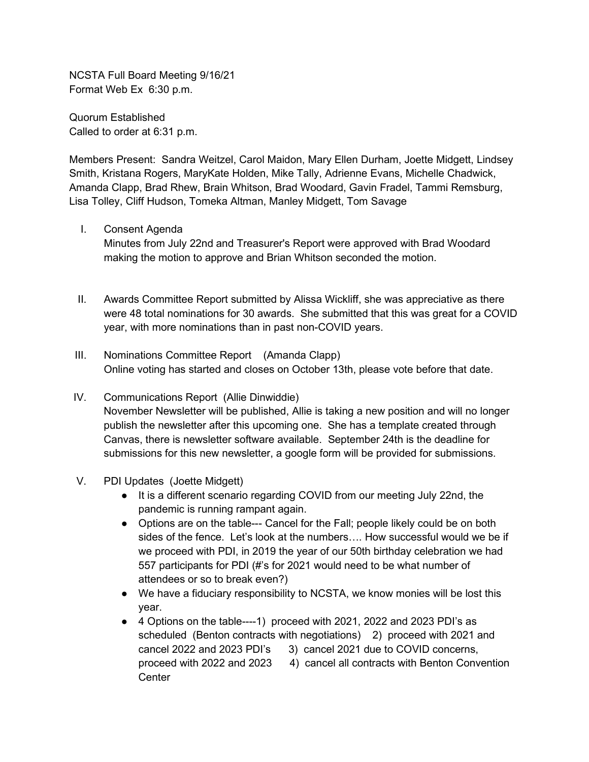NCSTA Full Board Meeting 9/16/21 Format Web Ex 6:30 p.m.

Quorum Established Called to order at 6:31 p.m.

Members Present: Sandra Weitzel, Carol Maidon, Mary Ellen Durham, Joette Midgett, Lindsey Smith, Kristana Rogers, MaryKate Holden, Mike Tally, Adrienne Evans, Michelle Chadwick, Amanda Clapp, Brad Rhew, Brain Whitson, Brad Woodard, Gavin Fradel, Tammi Remsburg, Lisa Tolley, Cliff Hudson, Tomeka Altman, Manley Midgett, Tom Savage

I. Consent Agenda

Minutes from July 22nd and Treasurer's Report were approved with Brad Woodard making the motion to approve and Brian Whitson seconded the motion.

- II. Awards Committee Report submitted by Alissa Wickliff, she was appreciative as there were 48 total nominations for 30 awards. She submitted that this was great for a COVID year, with more nominations than in past non-COVID years.
- III. Nominations Committee Report (Amanda Clapp) Online voting has started and closes on October 13th, please vote before that date.
- IV. Communications Report (Allie Dinwiddie) November Newsletter will be published, Allie is taking a new position and will no longer

publish the newsletter after this upcoming one. She has a template created through Canvas, there is newsletter software available. September 24th is the deadline for submissions for this new newsletter, a google form will be provided for submissions.

- V. PDI Updates (Joette Midgett)
	- It is a different scenario regarding COVID from our meeting July 22nd, the pandemic is running rampant again.
	- Options are on the table--- Cancel for the Fall; people likely could be on both sides of the fence. Let's look at the numbers…. How successful would we be if we proceed with PDI, in 2019 the year of our 50th birthday celebration we had 557 participants for PDI (#'s for 2021 would need to be what number of attendees or so to break even?)
	- We have a fiduciary responsibility to NCSTA, we know monies will be lost this year.
	- 4 Options on the table----1) proceed with 2021, 2022 and 2023 PDI's as scheduled (Benton contracts with negotiations) 2) proceed with 2021 and cancel 2022 and 2023 PDI's 3) cancel 2021 due to COVID concerns, proceed with 2022 and 2023 4) cancel all contracts with Benton Convention **Center**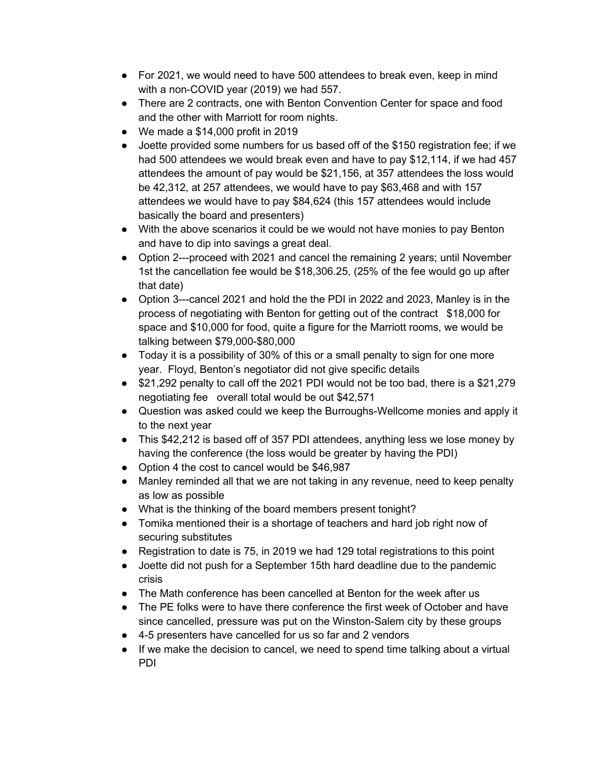- For 2021, we would need to have 500 attendees to break even, keep in mind with a non-COVID year (2019) we had 557.
- There are 2 contracts, one with Benton Convention Center for space and food and the other with Marriott for room nights.
- We made a \$14,000 profit in 2019
- Joette provided some numbers for us based off of the \$150 registration fee; if we had 500 attendees we would break even and have to pay \$12,114, if we had 457 attendees the amount of pay would be \$21,156, at 357 attendees the loss would be 42,312, at 257 attendees, we would have to pay \$63,468 and with 157 attendees we would have to pay \$84,624 (this 157 attendees would include basically the board and presenters)
- With the above scenarios it could be we would not have monies to pay Benton and have to dip into savings a great deal.
- Option 2---proceed with 2021 and cancel the remaining 2 years; until November 1st the cancellation fee would be \$18,306.25, (25% of the fee would go up after that date)
- Option 3---cancel 2021 and hold the the PDI in 2022 and 2023, Manley is in the process of negotiating with Benton for getting out of the contract \$18,000 for space and \$10,000 for food, quite a figure for the Marriott rooms, we would be talking between \$79,000-\$80,000
- Today it is a possibility of 30% of this or a small penalty to sign for one more year. Floyd, Benton's negotiator did not give specific details
- \$21,292 penalty to call off the 2021 PDI would not be too bad, there is a \$21,279 negotiating fee overall total would be out \$42,571
- Question was asked could we keep the Burroughs-Wellcome monies and apply it to the next year
- This \$42,212 is based off of 357 PDI attendees, anything less we lose money by having the conference (the loss would be greater by having the PDI)
- Option 4 the cost to cancel would be \$46,987
- Manley reminded all that we are not taking in any revenue, need to keep penalty as low as possible
- What is the thinking of the board members present tonight?
- Tomika mentioned their is a shortage of teachers and hard job right now of securing substitutes
- Registration to date is 75, in 2019 we had 129 total registrations to this point
- Joette did not push for a September 15th hard deadline due to the pandemic crisis
- The Math conference has been cancelled at Benton for the week after us
- The PE folks were to have there conference the first week of October and have since cancelled, pressure was put on the Winston-Salem city by these groups
- 4-5 presenters have cancelled for us so far and 2 vendors
- If we make the decision to cancel, we need to spend time talking about a virtual PDI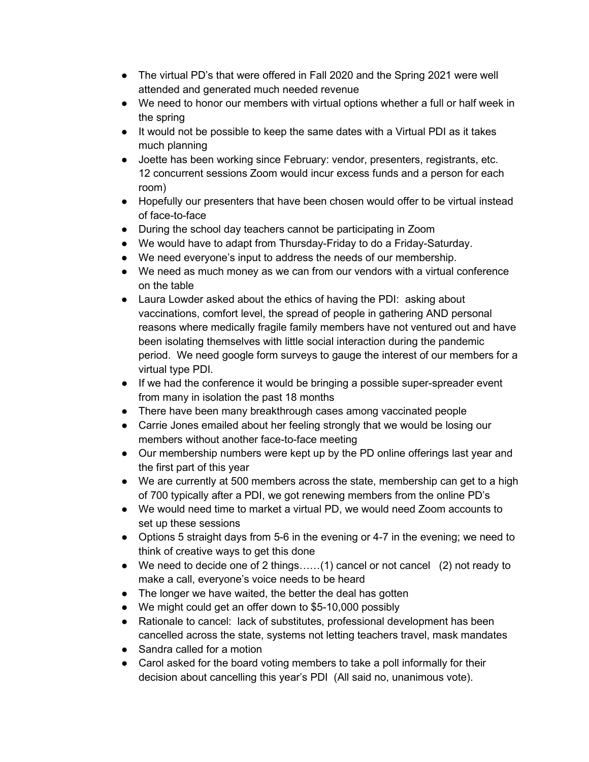- The virtual PD's that were offered in Fall 2020 and the Spring 2021 were well attended and generated much needed revenue
- We need to honor our members with virtual options whether a full or half week in the spring
- It would not be possible to keep the same dates with a Virtual PDI as it takes much planning
- Joette has been working since February: vendor, presenters, registrants, etc. 12 concurrent sessions Zoom would incur excess funds and a person for each room)
- Hopefully our presenters that have been chosen would offer to be virtual instead of face-to-face
- During the school day teachers cannot be participating in Zoom
- We would have to adapt from Thursday-Friday to do a Friday-Saturday.
- We need everyone's input to address the needs of our membership.
- We need as much money as we can from our vendors with a virtual conference on the table
- Laura Lowder asked about the ethics of having the PDI: asking about vaccinations, comfort level, the spread of people in gathering AND personal reasons where medically fragile family members have not ventured out and have been isolating themselves with little social interaction during the pandemic period. We need google form surveys to gauge the interest of our members for a virtual type PDI.
- If we had the conference it would be bringing a possible super-spreader event from many in isolation the past 18 months
- There have been many breakthrough cases among vaccinated people
- Carrie Jones emailed about her feeling strongly that we would be losing our members without another face-to-face meeting
- Our membership numbers were kept up by the PD online offerings last year and the first part of this year
- We are currently at 500 members across the state, membership can get to a high of 700 typically after a PDI, we got renewing members from the online PD's
- We would need time to market a virtual PD, we would need Zoom accounts to set up these sessions
- Options 5 straight days from 5-6 in the evening or 4-7 in the evening; we need to think of creative ways to get this done
- We need to decide one of 2 things......(1) cancel or not cancel (2) not ready to make a call, everyone's voice needs to be heard
- The longer we have waited, the better the deal has gotten
- We might could get an offer down to \$5-10,000 possibly
- Rationale to cancel: lack of substitutes, professional development has been cancelled across the state, systems not letting teachers travel, mask mandates
- Sandra called for a motion
- Carol asked for the board voting members to take a poll informally for their decision about cancelling this year's PDI (All said no, unanimous vote).